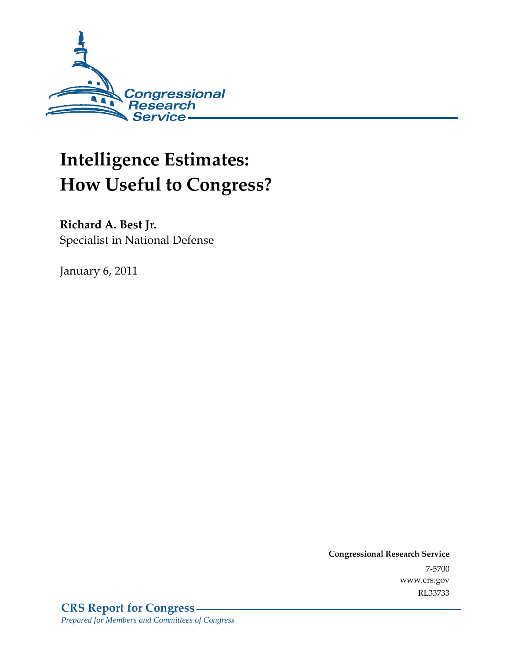

# **Intelligence Estimates: How Useful to Congress?**

**Richard A. Best Jr.**  Specialist in National Defense

January 6, 2011

**Congressional Research Service** 7-5700 www.crs.gov RL33733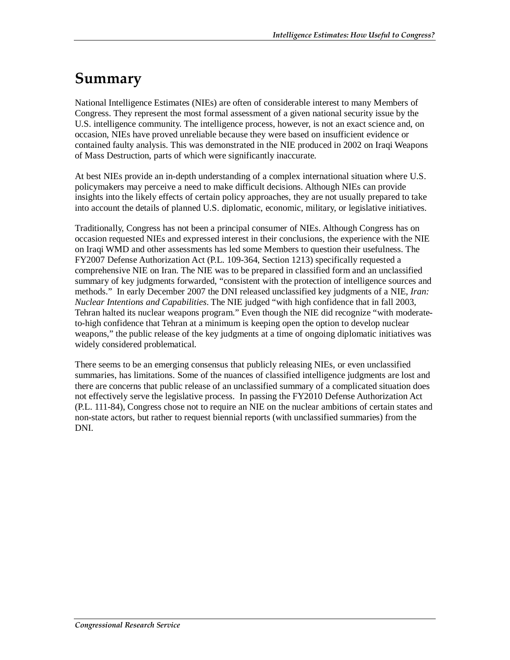### **Summary**

National Intelligence Estimates (NIEs) are often of considerable interest to many Members of Congress. They represent the most formal assessment of a given national security issue by the U.S. intelligence community. The intelligence process, however, is not an exact science and, on occasion, NIEs have proved unreliable because they were based on insufficient evidence or contained faulty analysis. This was demonstrated in the NIE produced in 2002 on Iraqi Weapons of Mass Destruction, parts of which were significantly inaccurate.

At best NIEs provide an in-depth understanding of a complex international situation where U.S. policymakers may perceive a need to make difficult decisions. Although NIEs can provide insights into the likely effects of certain policy approaches, they are not usually prepared to take into account the details of planned U.S. diplomatic, economic, military, or legislative initiatives.

Traditionally, Congress has not been a principal consumer of NIEs. Although Congress has on occasion requested NIEs and expressed interest in their conclusions, the experience with the NIE on Iraqi WMD and other assessments has led some Members to question their usefulness. The FY2007 Defense Authorization Act (P.L. 109-364, Section 1213) specifically requested a comprehensive NIE on Iran. The NIE was to be prepared in classified form and an unclassified summary of key judgments forwarded, "consistent with the protection of intelligence sources and methods." In early December 2007 the DNI released unclassified key judgments of a NIE, *Iran: Nuclear Intentions and Capabilities*. The NIE judged "with high confidence that in fall 2003, Tehran halted its nuclear weapons program." Even though the NIE did recognize "with moderateto-high confidence that Tehran at a minimum is keeping open the option to develop nuclear weapons," the public release of the key judgments at a time of ongoing diplomatic initiatives was widely considered problematical.

There seems to be an emerging consensus that publicly releasing NIEs, or even unclassified summaries, has limitations. Some of the nuances of classified intelligence judgments are lost and there are concerns that public release of an unclassified summary of a complicated situation does not effectively serve the legislative process. In passing the FY2010 Defense Authorization Act (P.L. 111-84), Congress chose not to require an NIE on the nuclear ambitions of certain states and non-state actors, but rather to request biennial reports (with unclassified summaries) from the DNI.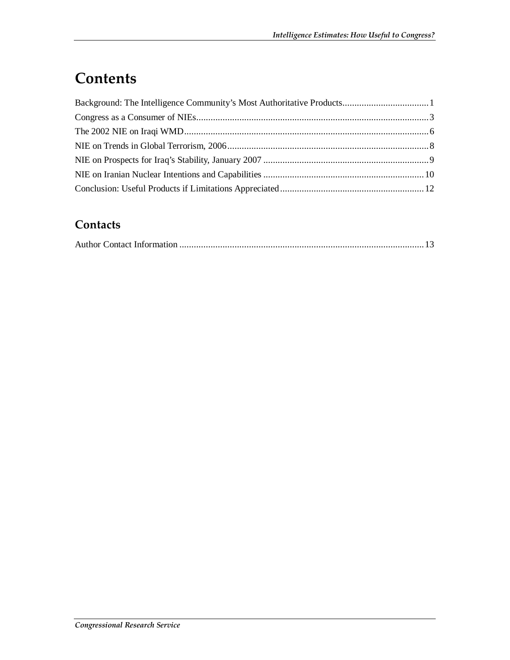# **Contents**

#### **Contacts**

|--|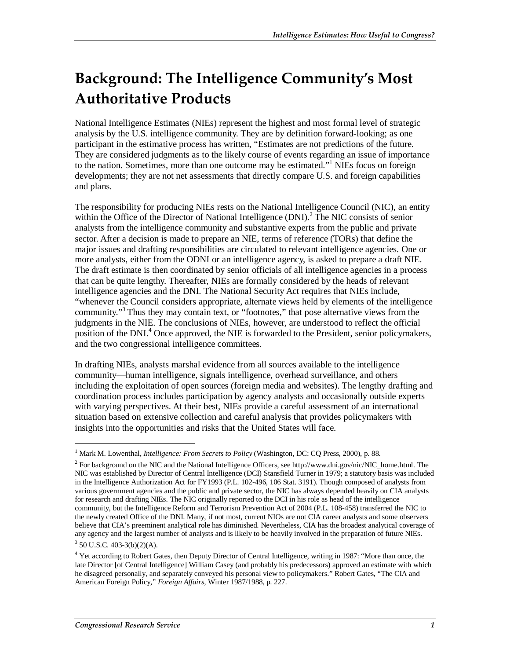# **Background: The Intelligence Community's Most Authoritative Products**

National Intelligence Estimates (NIEs) represent the highest and most formal level of strategic analysis by the U.S. intelligence community. They are by definition forward-looking; as one participant in the estimative process has written, "Estimates are not predictions of the future. They are considered judgments as to the likely course of events regarding an issue of importance to the nation. Sometimes, more than one outcome may be estimated."<sup>1</sup> NIEs focus on foreign developments; they are not net assessments that directly compare U.S. and foreign capabilities and plans.

The responsibility for producing NIEs rests on the National Intelligence Council (NIC), an entity within the Office of the Director of National Intelligence (DNI).<sup>2</sup> The NIC consists of senior analysts from the intelligence community and substantive experts from the public and private sector. After a decision is made to prepare an NIE, terms of reference (TORs) that define the major issues and drafting responsibilities are circulated to relevant intelligence agencies. One or more analysts, either from the ODNI or an intelligence agency, is asked to prepare a draft NIE. The draft estimate is then coordinated by senior officials of all intelligence agencies in a process that can be quite lengthy. Thereafter, NIEs are formally considered by the heads of relevant intelligence agencies and the DNI. The National Security Act requires that NIEs include, "whenever the Council considers appropriate, alternate views held by elements of the intelligence community."<sup>3</sup> Thus they may contain text, or "footnotes," that pose alternative views from the judgments in the NIE. The conclusions of NIEs, however, are understood to reflect the official position of the DNI.<sup>4</sup> Once approved, the NIE is forwarded to the President, senior policymakers, and the two congressional intelligence committees.

In drafting NIEs, analysts marshal evidence from all sources available to the intelligence community—human intelligence, signals intelligence, overhead surveillance, and others including the exploitation of open sources (foreign media and websites). The lengthy drafting and coordination process includes participation by agency analysts and occasionally outside experts with varying perspectives. At their best, NIEs provide a careful assessment of an international situation based on extensive collection and careful analysis that provides policymakers with insights into the opportunities and risks that the United States will face.

<sup>&</sup>lt;sup>1</sup> Mark M. Lowenthal, *Intelligence: From Secrets to Policy* (Washington, DC: CQ Press, 2000), p. 88.

 $2^2$  For background on the NIC and the National Intelligence Officers, see http://www.dni.gov/nic/NIC\_home.html. The NIC was established by Director of Central Intelligence (DCI) Stansfield Turner in 1979; a statutory basis was included in the Intelligence Authorization Act for FY1993 (P.L. 102-496, 106 Stat. 3191). Though composed of analysts from various government agencies and the public and private sector, the NIC has always depended heavily on CIA analysts for research and drafting NIEs. The NIC originally reported to the DCI in his role as head of the intelligence community, but the Intelligence Reform and Terrorism Prevention Act of 2004 (P.L. 108-458) transferred the NIC to the newly created Office of the DNI. Many, if not most, current NIOs are not CIA career analysts and some observers believe that CIA's preeminent analytical role has diminished. Nevertheless, CIA has the broadest analytical coverage of any agency and the largest number of analysts and is likely to be heavily involved in the preparation of future NIEs.  $3$  50 U.S.C. 403-3(b)(2)(A).

<sup>&</sup>lt;sup>4</sup> Yet according to Robert Gates, then Deputy Director of Central Intelligence, writing in 1987: "More than once, the late Director [of Central Intelligence] William Casey (and probably his predecessors) approved an estimate with which he disagreed personally, and separately conveyed his personal view to policymakers." Robert Gates, "The CIA and American Foreign Policy," *Foreign Affairs*, Winter 1987/1988, p. 227.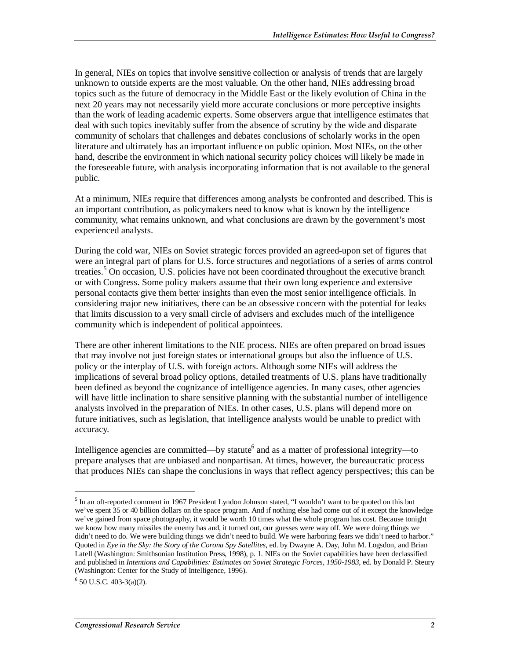In general, NIEs on topics that involve sensitive collection or analysis of trends that are largely unknown to outside experts are the most valuable. On the other hand, NIEs addressing broad topics such as the future of democracy in the Middle East or the likely evolution of China in the next 20 years may not necessarily yield more accurate conclusions or more perceptive insights than the work of leading academic experts. Some observers argue that intelligence estimates that deal with such topics inevitably suffer from the absence of scrutiny by the wide and disparate community of scholars that challenges and debates conclusions of scholarly works in the open literature and ultimately has an important influence on public opinion. Most NIEs, on the other hand, describe the environment in which national security policy choices will likely be made in the foreseeable future, with analysis incorporating information that is not available to the general public.

At a minimum, NIEs require that differences among analysts be confronted and described. This is an important contribution, as policymakers need to know what is known by the intelligence community, what remains unknown, and what conclusions are drawn by the government's most experienced analysts.

During the cold war, NIEs on Soviet strategic forces provided an agreed-upon set of figures that were an integral part of plans for U.S. force structures and negotiations of a series of arms control treaties.<sup>5</sup> On occasion, U.S. policies have not been coordinated throughout the executive branch or with Congress. Some policy makers assume that their own long experience and extensive personal contacts give them better insights than even the most senior intelligence officials. In considering major new initiatives, there can be an obsessive concern with the potential for leaks that limits discussion to a very small circle of advisers and excludes much of the intelligence community which is independent of political appointees.

There are other inherent limitations to the NIE process. NIEs are often prepared on broad issues that may involve not just foreign states or international groups but also the influence of U.S. policy or the interplay of U.S. with foreign actors. Although some NIEs will address the implications of several broad policy options, detailed treatments of U.S. plans have traditionally been defined as beyond the cognizance of intelligence agencies. In many cases, other agencies will have little inclination to share sensitive planning with the substantial number of intelligence analysts involved in the preparation of NIEs. In other cases, U.S. plans will depend more on future initiatives, such as legislation, that intelligence analysts would be unable to predict with accuracy.

Intelligence agencies are committed—by statute<sup>6</sup> and as a matter of professional integrity—to prepare analyses that are unbiased and nonpartisan. At times, however, the bureaucratic process that produces NIEs can shape the conclusions in ways that reflect agency perspectives; this can be

<sup>&</sup>lt;sup>5</sup> In an oft-reported comment in 1967 President Lyndon Johnson stated, "I wouldn't want to be quoted on this but we've spent 35 or 40 billion dollars on the space program. And if nothing else had come out of it except the knowledge we've gained from space photography, it would be worth 10 times what the whole program has cost. Because tonight we know how many missiles the enemy has and, it turned out, our guesses were way off. We were doing things we didn't need to do. We were building things we didn't need to build. We were harboring fears we didn't need to harbor." Quoted in *Eye in the Sky: the Story of the Corona Spy Satellites*, ed. by Dwayne A. Day, John M. Logsdon, and Brian Latell (Washington: Smithsonian Institution Press, 1998), p. 1. NIEs on the Soviet capabilities have been declassified and published in *Intentions and Capabilities: Estimates on Soviet Strategic Forces, 1950-1983*, ed. by Donald P. Steury (Washington: Center for the Study of Intelligence, 1996).

 $6$  50 U.S.C. 403-3(a)(2).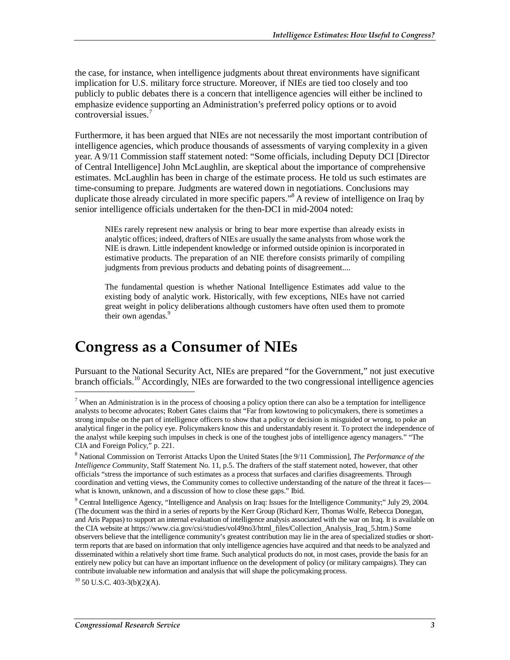the case, for instance, when intelligence judgments about threat environments have significant implication for U.S. military force structure. Moreover, if NIEs are tied too closely and too publicly to public debates there is a concern that intelligence agencies will either be inclined to emphasize evidence supporting an Administration's preferred policy options or to avoid controversial issues.<sup>7</sup>

Furthermore, it has been argued that NIEs are not necessarily the most important contribution of intelligence agencies, which produce thousands of assessments of varying complexity in a given year. A 9/11 Commission staff statement noted: "Some officials, including Deputy DCI [Director of Central Intelligence] John McLaughlin, are skeptical about the importance of comprehensive estimates. McLaughlin has been in charge of the estimate process. He told us such estimates are time-consuming to prepare. Judgments are watered down in negotiations. Conclusions may duplicate those already circulated in more specific papers."<sup>8</sup> A review of intelligence on Iraq by senior intelligence officials undertaken for the then-DCI in mid-2004 noted:

NIEs rarely represent new analysis or bring to bear more expertise than already exists in analytic offices; indeed, drafters of NIEs are usually the same analysts from whose work the NIE is drawn. Little independent knowledge or informed outside opinion is incorporated in estimative products. The preparation of an NIE therefore consists primarily of compiling judgments from previous products and debating points of disagreement....

The fundamental question is whether National Intelligence Estimates add value to the existing body of analytic work. Historically, with few exceptions, NIEs have not carried great weight in policy deliberations although customers have often used them to promote their own agendas.<sup>9</sup>

#### **Congress as a Consumer of NIEs**

Pursuant to the National Security Act, NIEs are prepared "for the Government," not just executive branch officials.<sup>10</sup> Accordingly, NIEs are forwarded to the two congressional intelligence agencies

 $10$  50 U.S.C. 403-3(b)(2)(A).

<sup>&</sup>lt;sup>7</sup> When an Administration is in the process of choosing a policy option there can also be a temptation for intelligence analysts to become advocates; Robert Gates claims that "Far from kowtowing to policymakers, there is sometimes a strong impulse on the part of intelligence officers to show that a policy or decision is misguided or wrong, to poke an analytical finger in the policy eye. Policymakers know this and understandably resent it. To protect the independence of the analyst while keeping such impulses in check is one of the toughest jobs of intelligence agency managers." "The CIA and Foreign Policy," p. 221.

<sup>8</sup> National Commission on Terrorist Attacks Upon the United States [the 9/11 Commission], *The Performance of the Intelligence Community*, Staff Statement No. 11, p.5. The drafters of the staff statement noted, however, that other officials "stress the importance of such estimates as a process that surfaces and clarifies disagreements. Through coordination and vetting views, the Community comes to collective understanding of the nature of the threat it faces what is known, unknown, and a discussion of how to close these gaps." Ibid.

<sup>&</sup>lt;sup>9</sup> Central Intelligence Agency, "Intelligence and Analysis on Iraq: Issues for the Intelligence Community;" July 29, 2004. (The document was the third in a series of reports by the Kerr Group (Richard Kerr, Thomas Wolfe, Rebecca Donegan, and Aris Pappas) to support an internal evaluation of intelligence analysis associated with the war on Iraq. It is available on the CIA website at https://www.cia.gov/csi/studies/vol49no3/html\_files/Collection\_Analysis\_Iraq\_5.htm.) Some observers believe that the intelligence community's greatest contribution may lie in the area of specialized studies or shortterm reports that are based on information that only intelligence agencies have acquired and that needs to be analyzed and disseminated within a relatively short time frame. Such analytical products do not, in most cases, provide the basis for an entirely new policy but can have an important influence on the development of policy (or military campaigns). They can contribute invaluable new information and analysis that will shape the policymaking process.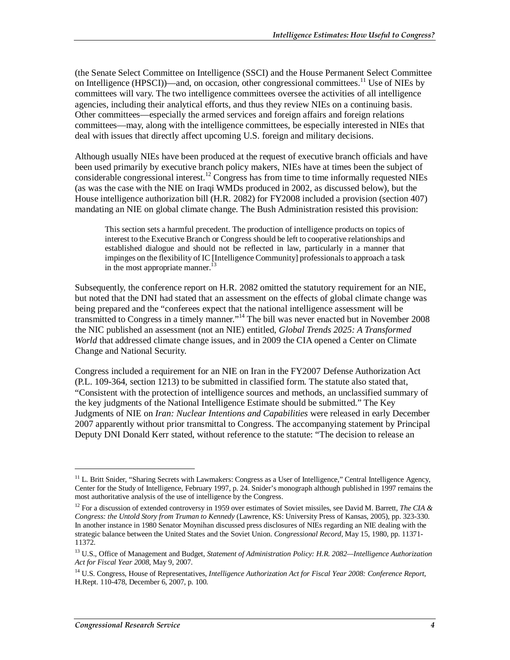(the Senate Select Committee on Intelligence (SSCI) and the House Permanent Select Committee on Intelligence (HPSCI)—and, on occasion, other congressional committees.<sup>11</sup> Use of NIEs by committees will vary. The two intelligence committees oversee the activities of all intelligence agencies, including their analytical efforts, and thus they review NIEs on a continuing basis. Other committees—especially the armed services and foreign affairs and foreign relations committees—may, along with the intelligence committees, be especially interested in NIEs that deal with issues that directly affect upcoming U.S. foreign and military decisions.

Although usually NIEs have been produced at the request of executive branch officials and have been used primarily by executive branch policy makers, NIEs have at times been the subject of considerable congressional interest.<sup>12</sup> Congress has from time to time informally requested NIEs (as was the case with the NIE on Iraqi WMDs produced in 2002, as discussed below), but the House intelligence authorization bill (H.R. 2082) for FY2008 included a provision (section 407) mandating an NIE on global climate change. The Bush Administration resisted this provision:

This section sets a harmful precedent. The production of intelligence products on topics of interest to the Executive Branch or Congress should be left to cooperative relationships and established dialogue and should not be reflected in law, particularly in a manner that impinges on the flexibility of IC [Intelligence Community] professionals to approach a task in the most appropriate manner. $^{13}$ 

Subsequently, the conference report on H.R. 2082 omitted the statutory requirement for an NIE, but noted that the DNI had stated that an assessment on the effects of global climate change was being prepared and the "conferees expect that the national intelligence assessment will be transmitted to Congress in a timely manner."14 The bill was never enacted but in November 2008 the NIC published an assessment (not an NIE) entitled, *Global Trends 2025: A Transformed World* that addressed climate change issues, and in 2009 the CIA opened a Center on Climate Change and National Security.

Congress included a requirement for an NIE on Iran in the FY2007 Defense Authorization Act (P.L. 109-364, section 1213) to be submitted in classified form. The statute also stated that, "Consistent with the protection of intelligence sources and methods, an unclassified summary of the key judgments of the National Intelligence Estimate should be submitted." The Key Judgments of NIE on *Iran: Nuclear Intentions and Capabilities* were released in early December 2007 apparently without prior transmittal to Congress. The accompanying statement by Principal Deputy DNI Donald Kerr stated, without reference to the statute: "The decision to release an

<u>.</u>

<sup>&</sup>lt;sup>11</sup> L. Britt Snider, "Sharing Secrets with Lawmakers: Congress as a User of Intelligence," Central Intelligence Agency, Center for the Study of Intelligence, February 1997, p. 24. Snider's monograph although published in 1997 remains the most authoritative analysis of the use of intelligence by the Congress.

<sup>12</sup> For a discussion of extended controversy in 1959 over estimates of Soviet missiles, see David M. Barrett, *The CIA & Congress: the Untold Story from Truman to Kennedy* (Lawrence, KS: University Press of Kansas, 2005), pp. 323-330. In another instance in 1980 Senator Moynihan discussed press disclosures of NIEs regarding an NIE dealing with the strategic balance between the United States and the Soviet Union. *Congressional Record*, May 15, 1980, pp. 11371- 11372.

<sup>13</sup> U.S., Office of Management and Budget, *Statement of Administration Policy: H.R. 2082—Intelligence Authorization Act for Fiscal Year 2008*, May 9, 2007.

<sup>14</sup> U.S. Congress, House of Representatives, *Intelligence Authorization Act for Fiscal Year 2008: Conference Report*, H.Rept. 110-478, December 6, 2007, p. 100.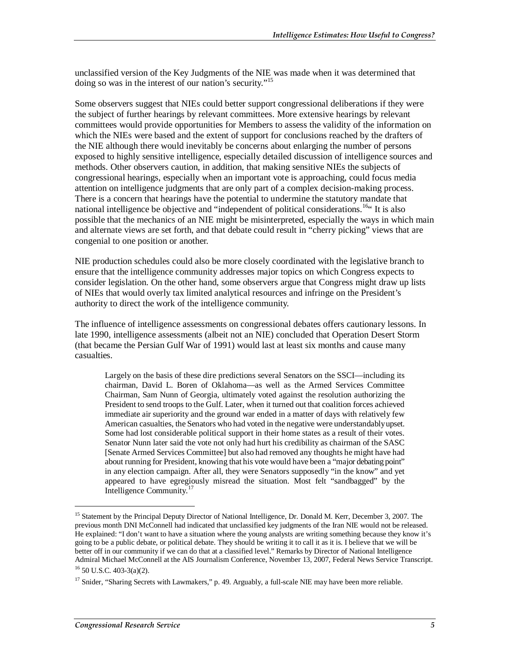unclassified version of the Key Judgments of the NIE was made when it was determined that doing so was in the interest of our nation's security."<sup>15</sup>

Some observers suggest that NIEs could better support congressional deliberations if they were the subject of further hearings by relevant committees. More extensive hearings by relevant committees would provide opportunities for Members to assess the validity of the information on which the NIEs were based and the extent of support for conclusions reached by the drafters of the NIE although there would inevitably be concerns about enlarging the number of persons exposed to highly sensitive intelligence, especially detailed discussion of intelligence sources and methods. Other observers caution, in addition, that making sensitive NIEs the subjects of congressional hearings, especially when an important vote is approaching, could focus media attention on intelligence judgments that are only part of a complex decision-making process. There is a concern that hearings have the potential to undermine the statutory mandate that national intelligence be objective and "independent of political considerations.<sup>16"</sup> It is also possible that the mechanics of an NIE might be misinterpreted, especially the ways in which main and alternate views are set forth, and that debate could result in "cherry picking" views that are congenial to one position or another.

NIE production schedules could also be more closely coordinated with the legislative branch to ensure that the intelligence community addresses major topics on which Congress expects to consider legislation. On the other hand, some observers argue that Congress might draw up lists of NIEs that would overly tax limited analytical resources and infringe on the President's authority to direct the work of the intelligence community.

The influence of intelligence assessments on congressional debates offers cautionary lessons. In late 1990, intelligence assessments (albeit not an NIE) concluded that Operation Desert Storm (that became the Persian Gulf War of 1991) would last at least six months and cause many casualties.

Largely on the basis of these dire predictions several Senators on the SSCI—including its chairman, David L. Boren of Oklahoma—as well as the Armed Services Committee Chairman, Sam Nunn of Georgia, ultimately voted against the resolution authorizing the President to send troops to the Gulf. Later, when it turned out that coalition forces achieved immediate air superiority and the ground war ended in a matter of days with relatively few American casualties, the Senators who had voted in the negative were understandably upset. Some had lost considerable political support in their home states as a result of their votes. Senator Nunn later said the vote not only had hurt his credibility as chairman of the SASC [Senate Armed Services Committee] but also had removed any thoughts he might have had about running for President, knowing that his vote would have been a "major debating point" in any election campaign. After all, they were Senators supposedly "in the know" and yet appeared to have egregiously misread the situation. Most felt "sandbagged" by the Intelligence Community.<sup>17</sup>

<sup>&</sup>lt;sup>15</sup> Statement by the Principal Deputy Director of National Intelligence, Dr. Donald M. Kerr, December 3, 2007. The previous month DNI McConnell had indicated that unclassified key judgments of the Iran NIE would not be released. He explained: "I don't want to have a situation where the young analysts are writing something because they know it's going to be a public debate, or political debate. They should be writing it to call it as it is. I believe that we will be better off in our community if we can do that at a classified level." Remarks by Director of National Intelligence Admiral Michael McConnell at the AIS Journalism Conference, November 13, 2007, Federal News Service Transcript.  $16$  50 U.S.C. 403-3(a)(2).

<sup>&</sup>lt;sup>17</sup> Snider, "Sharing Secrets with Lawmakers," p. 49. Arguably, a full-scale NIE may have been more reliable.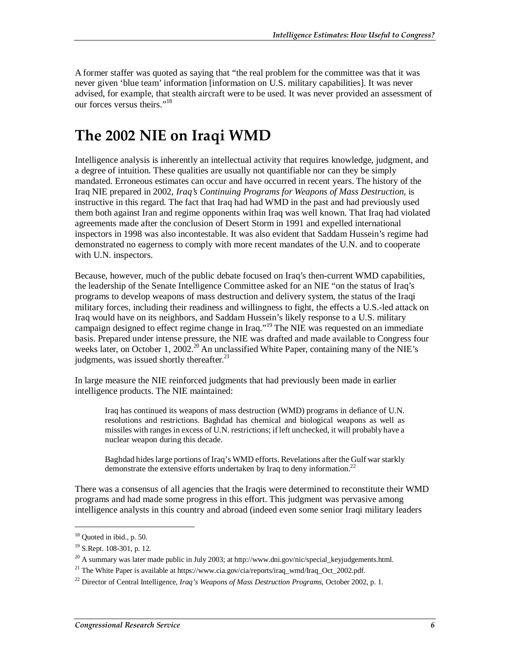A former staffer was quoted as saying that "the real problem for the committee was that it was never given 'blue team' information [information on U.S. military capabilities]. It was never advised, for example, that stealth aircraft were to be used. It was never provided an assessment of our forces versus theirs."18

### **The 2002 NIE on Iraqi WMD**

Intelligence analysis is inherently an intellectual activity that requires knowledge, judgment, and a degree of intuition. These qualities are usually not quantifiable nor can they be simply mandated. Erroneous estimates can occur and have occurred in recent years. The history of the Iraq NIE prepared in 2002, *Iraq's Continuing Programs for Weapons of Mass Destruction,* is instructive in this regard. The fact that Iraq had had WMD in the past and had previously used them both against Iran and regime opponents within Iraq was well known. That Iraq had violated agreements made after the conclusion of Desert Storm in 1991 and expelled international inspectors in 1998 was also incontestable. It was also evident that Saddam Hussein's regime had demonstrated no eagerness to comply with more recent mandates of the U.N. and to cooperate with U.N. inspectors.

Because, however, much of the public debate focused on Iraq's then-current WMD capabilities, the leadership of the Senate Intelligence Committee asked for an NIE "on the status of Iraq's programs to develop weapons of mass destruction and delivery system, the status of the Iraqi military forces, including their readiness and willingness to fight, the effects a U.S.-led attack on Iraq would have on its neighbors, and Saddam Hussein's likely response to a U.S. military campaign designed to effect regime change in Iraq."<sup>19</sup> The NIE was requested on an immediate basis. Prepared under intense pressure, the NIE was drafted and made available to Congress four weeks later, on October 1, 2002.<sup>20</sup> An unclassified White Paper, containing many of the NIE's judgments, was issued shortly thereafter. $^{21}$ 

In large measure the NIE reinforced judgments that had previously been made in earlier intelligence products. The NIE maintained:

Iraq has continued its weapons of mass destruction (WMD) programs in defiance of U.N. resolutions and restrictions. Baghdad has chemical and biological weapons as well as missiles with ranges in excess of U.N. restrictions; if left unchecked, it will probably have a nuclear weapon during this decade.

Baghdad hides large portions of Iraq's WMD efforts. Revelations after the Gulf war starkly demonstrate the extensive efforts undertaken by Iraq to deny information.<sup>22</sup>

There was a consensus of all agencies that the Iraqis were determined to reconstitute their WMD programs and had made some progress in this effort. This judgment was pervasive among intelligence analysts in this country and abroad (indeed even some senior Iraqi military leaders

 $18$  Quoted in ibid., p. 50.

<sup>19</sup> S.Rept. 108-301, p. 12.

 $^{20}$  A summary was later made public in July 2003; at http://www.dni.gov/nic/special\_keyjudgements.html.

<sup>&</sup>lt;sup>21</sup> The White Paper is available at https://www.cia.gov/cia/reports/iraq\_wmd/Iraq\_Oct\_2002.pdf.

<sup>22</sup> Director of Central Intelligence, *Iraq's Weapons of Mass Destruction Programs*, October 2002, p. 1.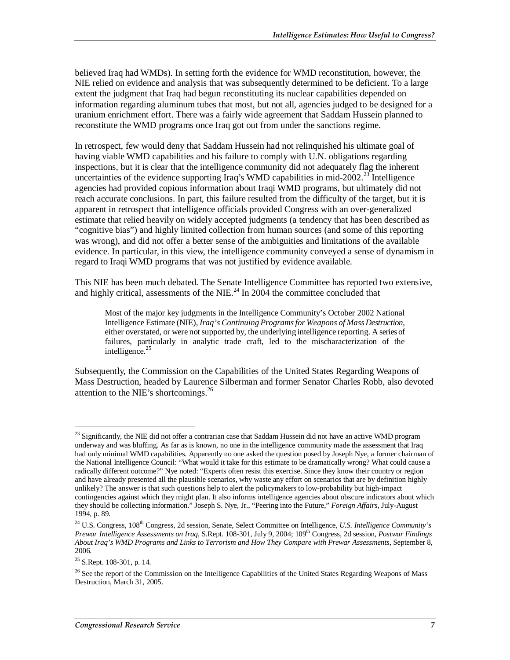believed Iraq had WMDs). In setting forth the evidence for WMD reconstitution, however, the NIE relied on evidence and analysis that was subsequently determined to be deficient. To a large extent the judgment that Iraq had begun reconstituting its nuclear capabilities depended on information regarding aluminum tubes that most, but not all, agencies judged to be designed for a uranium enrichment effort. There was a fairly wide agreement that Saddam Hussein planned to reconstitute the WMD programs once Iraq got out from under the sanctions regime.

In retrospect, few would deny that Saddam Hussein had not relinquished his ultimate goal of having viable WMD capabilities and his failure to comply with U.N. obligations regarding inspections, but it is clear that the intelligence community did not adequately flag the inherent uncertainties of the evidence supporting Iraq's WMD capabilities in mid-2002.<sup>23</sup> Intelligence agencies had provided copious information about Iraqi WMD programs, but ultimately did not reach accurate conclusions. In part, this failure resulted from the difficulty of the target, but it is apparent in retrospect that intelligence officials provided Congress with an over-generalized estimate that relied heavily on widely accepted judgments (a tendency that has been described as "cognitive bias") and highly limited collection from human sources (and some of this reporting was wrong), and did not offer a better sense of the ambiguities and limitations of the available evidence. In particular, in this view, the intelligence community conveyed a sense of dynamism in regard to Iraqi WMD programs that was not justified by evidence available.

This NIE has been much debated. The Senate Intelligence Committee has reported two extensive, and highly critical, assessments of the NIE. $^{24}$  In 2004 the committee concluded that

Most of the major key judgments in the Intelligence Community's October 2002 National Intelligence Estimate (NIE), *Iraq's Continuing Programs for Weapons of Mass Destruction*, either overstated, or were not supported by, the underlying intelligence reporting. A series of failures, particularly in analytic trade craft, led to the mischaracterization of the intelligence. $25$ 

Subsequently, the Commission on the Capabilities of the United States Regarding Weapons of Mass Destruction, headed by Laurence Silberman and former Senator Charles Robb, also devoted attention to the NIE's shortcomings. $^{26}$ 

<sup>&</sup>lt;sup>23</sup> Significantly, the NIE did not offer a contrarian case that Saddam Hussein did not have an active WMD program underway and was bluffing. As far as is known, no one in the intelligence community made the assessment that Iraq had only minimal WMD capabilities. Apparently no one asked the question posed by Joseph Nye, a former chairman of the National Intelligence Council: "What would it take for this estimate to be dramatically wrong? What could cause a radically different outcome?" Nye noted: "Experts often resist this exercise. Since they know their country or region and have already presented all the plausible scenarios, why waste any effort on scenarios that are by definition highly unlikely? The answer is that such questions help to alert the policymakers to low-probability but high-impact contingencies against which they might plan. It also informs intelligence agencies about obscure indicators about which they should be collecting information." Joseph S. Nye, Jr., "Peering into the Future," *Foreign Affairs,* July-August 1994, p. 89.

<sup>&</sup>lt;sup>24</sup> U.S. Congress, 108<sup>th</sup> Congress, 2d session, Senate, Select Committee on Intelligence, *U.S. Intelligence Community's Prewar Intelligence Assessments on Iraq*, S.Rept. 108-301, July 9, 2004; 109th Congress, 2d session, *Postwar Findings About Iraq's WMD Programs and Links to Terrorism and How They Compare with Prewar Assessments*, September 8, 2006.

 $25$  S.Rept. 108-301, p. 14.

<sup>&</sup>lt;sup>26</sup> See the report of the Commission on the Intelligence Capabilities of the United States Regarding Weapons of Mass Destruction, March 31, 2005.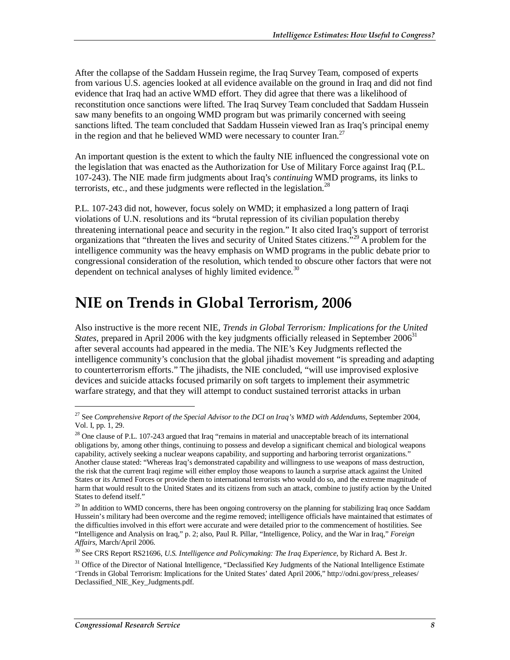After the collapse of the Saddam Hussein regime, the Iraq Survey Team, composed of experts from various U.S. agencies looked at all evidence available on the ground in Iraq and did not find evidence that Iraq had an active WMD effort. They did agree that there was a likelihood of reconstitution once sanctions were lifted. The Iraq Survey Team concluded that Saddam Hussein saw many benefits to an ongoing WMD program but was primarily concerned with seeing sanctions lifted. The team concluded that Saddam Hussein viewed Iran as Iraq's principal enemy in the region and that he believed WMD were necessary to counter Iran.<sup>27</sup>

An important question is the extent to which the faulty NIE influenced the congressional vote on the legislation that was enacted as the Authorization for Use of Military Force against Iraq (P.L. 107-243). The NIE made firm judgments about Iraq's *continuing* WMD programs, its links to terrorists, etc., and these judgments were reflected in the legislation.<sup>28</sup>

P.L. 107-243 did not, however, focus solely on WMD; it emphasized a long pattern of Iraqi violations of U.N. resolutions and its "brutal repression of its civilian population thereby threatening international peace and security in the region." It also cited Iraq's support of terrorist organizations that "threaten the lives and security of United States citizens."<sup>29</sup> A problem for the intelligence community was the heavy emphasis on WMD programs in the public debate prior to congressional consideration of the resolution, which tended to obscure other factors that were not dependent on technical analyses of highly limited evidence.<sup>30</sup>

#### **NIE on Trends in Global Terrorism, 2006**

Also instructive is the more recent NIE, *Trends in Global Terrorism: Implications for the United States*, prepared in April 2006 with the key judgments officially released in September 2006<sup>31</sup> after several accounts had appeared in the media. The NIE's Key Judgments reflected the intelligence community's conclusion that the global jihadist movement "is spreading and adapting to counterterrorism efforts." The jihadists, the NIE concluded, "will use improvised explosive devices and suicide attacks focused primarily on soft targets to implement their asymmetric warfare strategy, and that they will attempt to conduct sustained terrorist attacks in urban

<sup>27</sup> See *Comprehensive Report of the Special Advisor to the DCI on Iraq's WMD with Addendums*, September 2004, Vol. I, pp. 1, 29.

 $^{28}$  One clause of P.L. 107-243 argued that Iraq "remains in material and unacceptable breach of its international obligations by, among other things, continuing to possess and develop a significant chemical and biological weapons capability, actively seeking a nuclear weapons capability, and supporting and harboring terrorist organizations." Another clause stated: "Whereas Iraq's demonstrated capability and willingness to use weapons of mass destruction, the risk that the current Iraqi regime will either employ those weapons to launch a surprise attack against the United States or its Armed Forces or provide them to international terrorists who would do so, and the extreme magnitude of harm that would result to the United States and its citizens from such an attack, combine to justify action by the United States to defend itself."

 $29$  In addition to WMD concerns, there has been ongoing controversy on the planning for stabilizing Iraq once Saddam Hussein's military had been overcome and the regime removed; intelligence officials have maintained that estimates of the difficulties involved in this effort were accurate and were detailed prior to the commencement of hostilities. See "Intelligence and Analysis on Iraq," p. 2; also, Paul R. Pillar, "Intelligence, Policy, and the War in Iraq," *Foreign Affairs*, March/April 2006.

<sup>30</sup> See CRS Report RS21696, *U.S. Intelligence and Policymaking: The Iraq Experience*, by Richard A. Best Jr.

<sup>&</sup>lt;sup>31</sup> Office of the Director of National Intelligence, "Declassified Key Judgments of the National Intelligence Estimate 'Trends in Global Terrorism: Implications for the United States' dated April 2006," http://odni.gov/press\_releases/ Declassified\_NIE\_Key\_Judgments.pdf.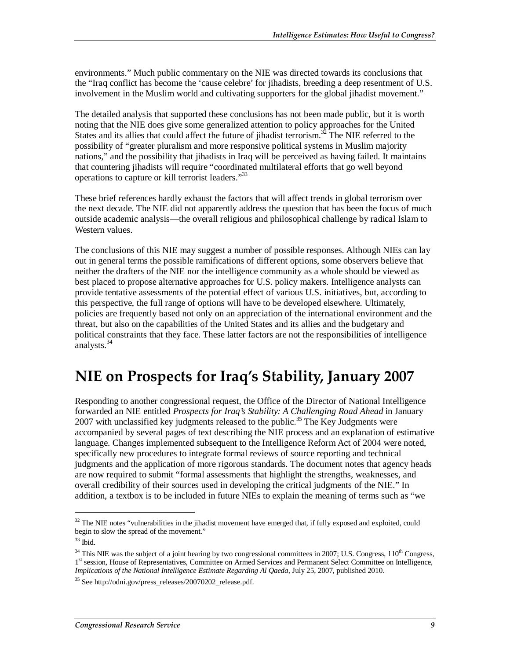environments." Much public commentary on the NIE was directed towards its conclusions that the "Iraq conflict has become the 'cause celebre' for jihadists, breeding a deep resentment of U.S. involvement in the Muslim world and cultivating supporters for the global jihadist movement."

The detailed analysis that supported these conclusions has not been made public, but it is worth noting that the NIE does give some generalized attention to policy approaches for the United States and its allies that could affect the future of jihadist terrorism.<sup>32</sup> The NIE referred to the possibility of "greater pluralism and more responsive political systems in Muslim majority nations," and the possibility that jihadists in Iraq will be perceived as having failed. It maintains that countering jihadists will require "coordinated multilateral efforts that go well beyond operations to capture or kill terrorist leaders."33

These brief references hardly exhaust the factors that will affect trends in global terrorism over the next decade. The NIE did not apparently address the question that has been the focus of much outside academic analysis—the overall religious and philosophical challenge by radical Islam to Western values.

The conclusions of this NIE may suggest a number of possible responses. Although NIEs can lay out in general terms the possible ramifications of different options, some observers believe that neither the drafters of the NIE nor the intelligence community as a whole should be viewed as best placed to propose alternative approaches for U.S. policy makers. Intelligence analysts can provide tentative assessments of the potential effect of various U.S. initiatives, but, according to this perspective, the full range of options will have to be developed elsewhere. Ultimately, policies are frequently based not only on an appreciation of the international environment and the threat, but also on the capabilities of the United States and its allies and the budgetary and political constraints that they face. These latter factors are not the responsibilities of intelligence analysts. $34$ 

#### **NIE on Prospects for Iraq's Stability, January 2007**

Responding to another congressional request, the Office of the Director of National Intelligence forwarded an NIE entitled *Prospects for Iraq's Stability: A Challenging Road Ahead* in January 2007 with unclassified key judgments released to the public.<sup>35</sup> The Key Judgments were accompanied by several pages of text describing the NIE process and an explanation of estimative language. Changes implemented subsequent to the Intelligence Reform Act of 2004 were noted, specifically new procedures to integrate formal reviews of source reporting and technical judgments and the application of more rigorous standards. The document notes that agency heads are now required to submit "formal assessments that highlight the strengths, weaknesses, and overall credibility of their sources used in developing the critical judgments of the NIE." In addition, a textbox is to be included in future NIEs to explain the meaning of terms such as "we

<sup>&</sup>lt;sup>32</sup> The NIE notes "vulnerabilities in the jihadist movement have emerged that, if fully exposed and exploited, could begin to slow the spread of the movement."

 $33$  Ibid.

 $34$  This NIE was the subject of a joint hearing by two congressional committees in 2007; U.S. Congress,  $110<sup>th</sup>$  Congress, 1<sup>st</sup> session, House of Representatives, Committee on Armed Services and Permanent Select Committee on Intelligence, *Implications of the National Intelligence Estimate Regarding Al Qaeda*, July 25, 2007, published 2010.

<sup>35</sup> See http://odni.gov/press\_releases/20070202\_release.pdf.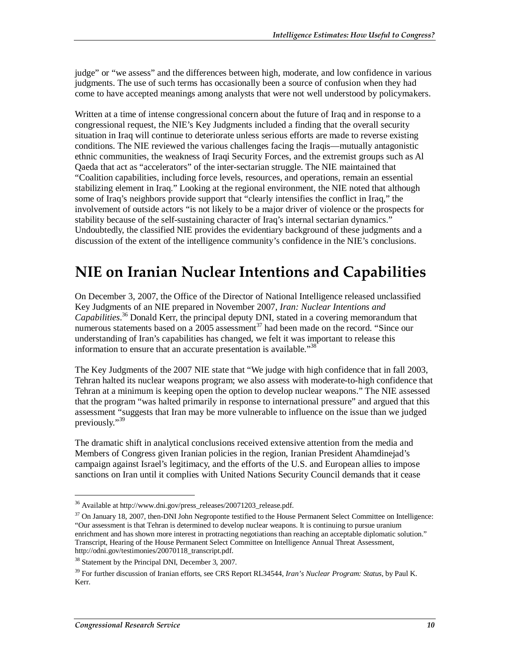judge" or "we assess" and the differences between high, moderate, and low confidence in various judgments. The use of such terms has occasionally been a source of confusion when they had come to have accepted meanings among analysts that were not well understood by policymakers.

Written at a time of intense congressional concern about the future of Iraq and in response to a congressional request, the NIE's Key Judgments included a finding that the overall security situation in Iraq will continue to deteriorate unless serious efforts are made to reverse existing conditions. The NIE reviewed the various challenges facing the Iraqis—mutually antagonistic ethnic communities, the weakness of Iraqi Security Forces, and the extremist groups such as Al Qaeda that act as "accelerators" of the inter-sectarian struggle. The NIE maintained that "Coalition capabilities, including force levels, resources, and operations, remain an essential stabilizing element in Iraq." Looking at the regional environment, the NIE noted that although some of Iraq's neighbors provide support that "clearly intensifies the conflict in Iraq," the involvement of outside actors "is not likely to be a major driver of violence or the prospects for stability because of the self-sustaining character of Iraq's internal sectarian dynamics." Undoubtedly, the classified NIE provides the evidentiary background of these judgments and a discussion of the extent of the intelligence community's confidence in the NIE's conclusions.

### **NIE on Iranian Nuclear Intentions and Capabilities**

On December 3, 2007, the Office of the Director of National Intelligence released unclassified Key Judgments of an NIE prepared in November 2007, *Iran: Nuclear Intentions and Capabilities*. 36 Donald Kerr, the principal deputy DNI, stated in a covering memorandum that numerous statements based on a 2005 assessment<sup>37</sup> had been made on the record. "Since our understanding of Iran's capabilities has changed, we felt it was important to release this information to ensure that an accurate presentation is available."<sup>38</sup>

The Key Judgments of the 2007 NIE state that "We judge with high confidence that in fall 2003, Tehran halted its nuclear weapons program; we also assess with moderate-to-high confidence that Tehran at a minimum is keeping open the option to develop nuclear weapons." The NIE assessed that the program "was halted primarily in response to international pressure" and argued that this assessment "suggests that Iran may be more vulnerable to influence on the issue than we judged previously."<sup>39</sup>

The dramatic shift in analytical conclusions received extensive attention from the media and Members of Congress given Iranian policies in the region, Iranian President Ahamdinejad's campaign against Israel's legitimacy, and the efforts of the U.S. and European allies to impose sanctions on Iran until it complies with United Nations Security Council demands that it cease

<sup>36</sup> Available at http://www.dni.gov/press\_releases/20071203\_release.pdf.

<sup>&</sup>lt;sup>37</sup> On January 18, 2007, then-DNI John Negroponte testified to the House Permanent Select Committee on Intelligence: "Our assessment is that Tehran is determined to develop nuclear weapons. It is continuing to pursue uranium enrichment and has shown more interest in protracting negotiations than reaching an acceptable diplomatic solution." Transcript, Hearing of the House Permanent Select Committee on Intelligence Annual Threat Assessment, http://odni.gov/testimonies/20070118\_transcript.pdf.

<sup>&</sup>lt;sup>38</sup> Statement by the Principal DNI, December 3, 2007.

<sup>39</sup> For further discussion of Iranian efforts, see CRS Report RL34544, *Iran's Nuclear Program: Status*, by Paul K. Kerr.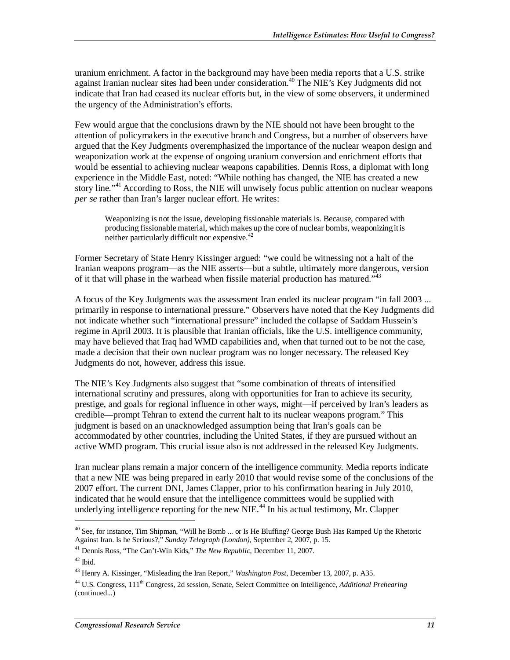uranium enrichment. A factor in the background may have been media reports that a U.S. strike against Iranian nuclear sites had been under consideration.<sup>40</sup> The NIE's Key Judgments did not indicate that Iran had ceased its nuclear efforts but, in the view of some observers, it undermined the urgency of the Administration's efforts.

Few would argue that the conclusions drawn by the NIE should not have been brought to the attention of policymakers in the executive branch and Congress, but a number of observers have argued that the Key Judgments overemphasized the importance of the nuclear weapon design and weaponization work at the expense of ongoing uranium conversion and enrichment efforts that would be essential to achieving nuclear weapons capabilities. Dennis Ross, a diplomat with long experience in the Middle East, noted: "While nothing has changed, the NIE has created a new story line."<sup>41</sup> According to Ross, the NIE will unwisely focus public attention on nuclear weapons *per se* rather than Iran's larger nuclear effort. He writes:

Weaponizing is not the issue, developing fissionable materials is. Because, compared with producing fissionable material, which makes up the core of nuclear bombs, weaponizing it is neither particularly difficult nor expensive.<sup>42</sup>

Former Secretary of State Henry Kissinger argued: "we could be witnessing not a halt of the Iranian weapons program—as the NIE asserts—but a subtle, ultimately more dangerous, version of it that will phase in the warhead when fissile material production has matured."<sup>43</sup>

A focus of the Key Judgments was the assessment Iran ended its nuclear program "in fall 2003 ... primarily in response to international pressure." Observers have noted that the Key Judgments did not indicate whether such "international pressure" included the collapse of Saddam Hussein's regime in April 2003. It is plausible that Iranian officials, like the U.S. intelligence community, may have believed that Iraq had WMD capabilities and, when that turned out to be not the case, made a decision that their own nuclear program was no longer necessary. The released Key Judgments do not, however, address this issue.

The NIE's Key Judgments also suggest that "some combination of threats of intensified international scrutiny and pressures, along with opportunities for Iran to achieve its security, prestige, and goals for regional influence in other ways, might—if perceived by Iran's leaders as credible—prompt Tehran to extend the current halt to its nuclear weapons program." This judgment is based on an unacknowledged assumption being that Iran's goals can be accommodated by other countries, including the United States, if they are pursued without an active WMD program. This crucial issue also is not addressed in the released Key Judgments.

Iran nuclear plans remain a major concern of the intelligence community. Media reports indicate that a new NIE was being prepared in early 2010 that would revise some of the conclusions of the 2007 effort. The current DNI, James Clapper, prior to his confirmation hearing in July 2010, indicated that he would ensure that the intelligence committees would be supplied with underlying intelligence reporting for the new  $NIE<sup>44</sup>$  In his actual testimony, Mr. Clapper

<sup>41</sup> Dennis Ross, "The Can't-Win Kids," *The New Republic*, December 11, 2007.

<u>.</u>

<sup>&</sup>lt;sup>40</sup> See, for instance, Tim Shipman, "Will he Bomb ... or Is He Bluffing? George Bush Has Ramped Up the Rhetoric Against Iran. Is he Serious?," Sunday Telegraph (London), September 2, 2007, p. 15.

 $42$  Ibid.

<sup>43</sup> Henry A. Kissinger, "Misleading the Iran Report," *Washington Post*, December 13, 2007, p. A35.

<sup>44</sup> U.S. Congress, 111th Congress, 2d session, Senate, Select Committee on Intelligence, *Additional Prehearing*  (continued...)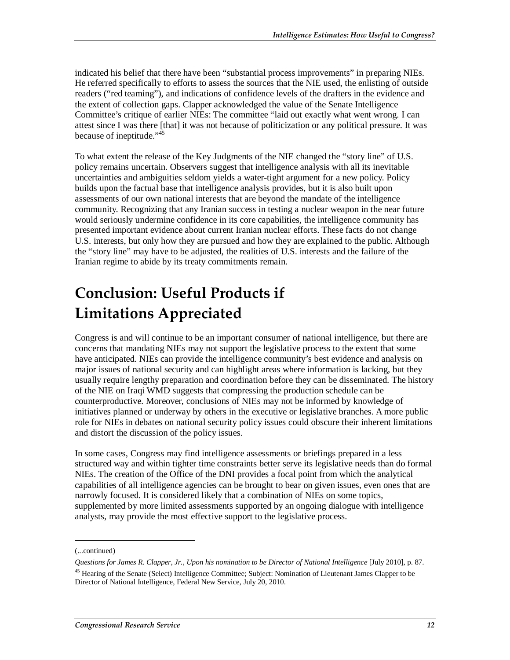indicated his belief that there have been "substantial process improvements" in preparing NIEs. He referred specifically to efforts to assess the sources that the NIE used, the enlisting of outside readers ("red teaming"), and indications of confidence levels of the drafters in the evidence and the extent of collection gaps. Clapper acknowledged the value of the Senate Intelligence Committee's critique of earlier NIEs: The committee "laid out exactly what went wrong. I can attest since I was there [that] it was not because of politicization or any political pressure. It was because of ineptitude."<sup>45</sup>

To what extent the release of the Key Judgments of the NIE changed the "story line" of U.S. policy remains uncertain. Observers suggest that intelligence analysis with all its inevitable uncertainties and ambiguities seldom yields a water-tight argument for a new policy. Policy builds upon the factual base that intelligence analysis provides, but it is also built upon assessments of our own national interests that are beyond the mandate of the intelligence community. Recognizing that any Iranian success in testing a nuclear weapon in the near future would seriously undermine confidence in its core capabilities, the intelligence community has presented important evidence about current Iranian nuclear efforts. These facts do not change U.S. interests, but only how they are pursued and how they are explained to the public. Although the "story line" may have to be adjusted, the realities of U.S. interests and the failure of the Iranian regime to abide by its treaty commitments remain.

## **Conclusion: Useful Products if Limitations Appreciated**

Congress is and will continue to be an important consumer of national intelligence, but there are concerns that mandating NIEs may not support the legislative process to the extent that some have anticipated. NIEs can provide the intelligence community's best evidence and analysis on major issues of national security and can highlight areas where information is lacking, but they usually require lengthy preparation and coordination before they can be disseminated. The history of the NIE on Iraqi WMD suggests that compressing the production schedule can be counterproductive. Moreover, conclusions of NIEs may not be informed by knowledge of initiatives planned or underway by others in the executive or legislative branches. A more public role for NIEs in debates on national security policy issues could obscure their inherent limitations and distort the discussion of the policy issues.

In some cases, Congress may find intelligence assessments or briefings prepared in a less structured way and within tighter time constraints better serve its legislative needs than do formal NIEs. The creation of the Office of the DNI provides a focal point from which the analytical capabilities of all intelligence agencies can be brought to bear on given issues, even ones that are narrowly focused. It is considered likely that a combination of NIEs on some topics, supplemented by more limited assessments supported by an ongoing dialogue with intelligence analysts, may provide the most effective support to the legislative process.

<sup>(...</sup>continued)

*Questions for James R. Clapper, Jr., Upon his nomination to be Director of National Intelligence* [July 2010], p. 87.

<sup>&</sup>lt;sup>45</sup> Hearing of the Senate (Select) Intelligence Committee; Subject: Nomination of Lieutenant James Clapper to be Director of National Intelligence, Federal New Service, July 20, 2010.